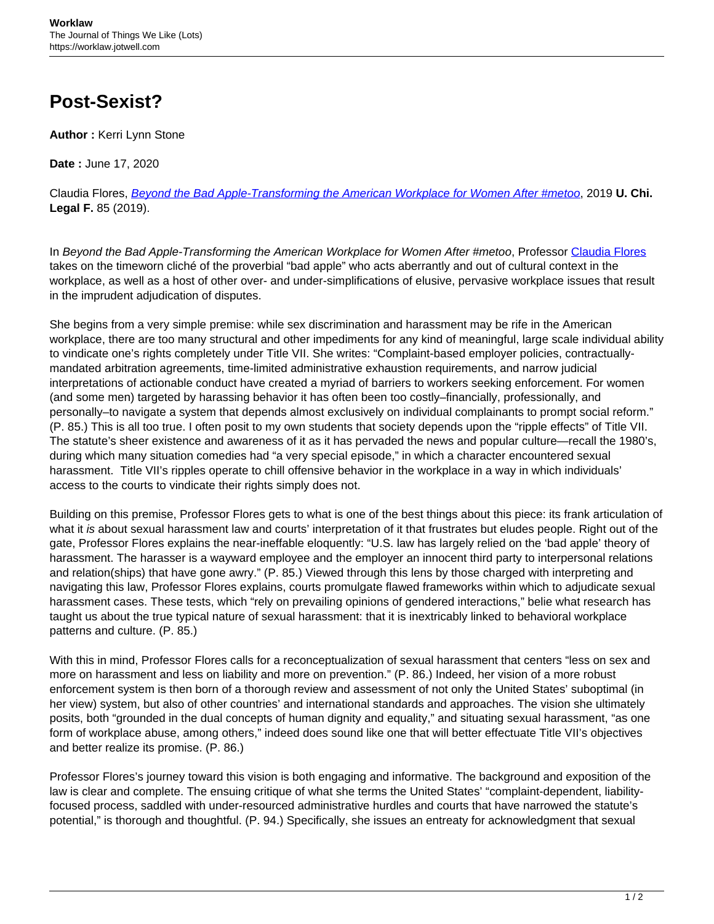## **Post-Sexist?**

**Author :** Kerri Lynn Stone

**Date :** June 17, 2020

Claudia Flores, [Beyond the Bad Apple-Transforming the American Workplace for Women After #metoo](https://chicagounbound.uchicago.edu/uclf/vol2019/iss1/4/), 2019 **U. Chi. Legal F.** 85 (2019).

In Beyond the Bad Apple-Transforming the American Workplace for Women After #metoo, Professor [Claudia Flores](https://www.law.uchicago.edu/faculty/flores) takes on the timeworn cliché of the proverbial "bad apple" who acts aberrantly and out of cultural context in the workplace, as well as a host of other over- and under-simplifications of elusive, pervasive workplace issues that result in the imprudent adjudication of disputes.

She begins from a very simple premise: while sex discrimination and harassment may be rife in the American workplace, there are too many structural and other impediments for any kind of meaningful, large scale individual ability to vindicate one's rights completely under Title VII. She writes: "Complaint-based employer policies, contractuallymandated arbitration agreements, time-limited administrative exhaustion requirements, and narrow judicial interpretations of actionable conduct have created a myriad of barriers to workers seeking enforcement. For women (and some men) targeted by harassing behavior it has often been too costly–financially, professionally, and personally–to navigate a system that depends almost exclusively on individual complainants to prompt social reform." (P. 85.) This is all too true. I often posit to my own students that society depends upon the "ripple effects" of Title VII. The statute's sheer existence and awareness of it as it has pervaded the news and popular culture—recall the 1980's, during which many situation comedies had "a very special episode," in which a character encountered sexual harassment. Title VII's ripples operate to chill offensive behavior in the workplace in a way in which individuals' access to the courts to vindicate their rights simply does not.

Building on this premise, Professor Flores gets to what is one of the best things about this piece: its frank articulation of what it is about sexual harassment law and courts' interpretation of it that frustrates but eludes people. Right out of the gate, Professor Flores explains the near-ineffable eloquently: "U.S. law has largely relied on the 'bad apple' theory of harassment. The harasser is a wayward employee and the employer an innocent third party to interpersonal relations and relation(ships) that have gone awry." (P. 85.) Viewed through this lens by those charged with interpreting and navigating this law, Professor Flores explains, courts promulgate flawed frameworks within which to adjudicate sexual harassment cases. These tests, which "rely on prevailing opinions of gendered interactions," belie what research has taught us about the true typical nature of sexual harassment: that it is inextricably linked to behavioral workplace patterns and culture. (P. 85.)

With this in mind, Professor Flores calls for a reconceptualization of sexual harassment that centers "less on sex and more on harassment and less on liability and more on prevention." (P. 86.) Indeed, her vision of a more robust enforcement system is then born of a thorough review and assessment of not only the United States' suboptimal (in her view) system, but also of other countries' and international standards and approaches. The vision she ultimately posits, both "grounded in the dual concepts of human dignity and equality," and situating sexual harassment, "as one form of workplace abuse, among others," indeed does sound like one that will better effectuate Title VII's objectives and better realize its promise. (P. 86.)

Professor Flores's journey toward this vision is both engaging and informative. The background and exposition of the law is clear and complete. The ensuing critique of what she terms the United States' "complaint-dependent, liabilityfocused process, saddled with under-resourced administrative hurdles and courts that have narrowed the statute's potential," is thorough and thoughtful. (P. 94.) Specifically, she issues an entreaty for acknowledgment that sexual